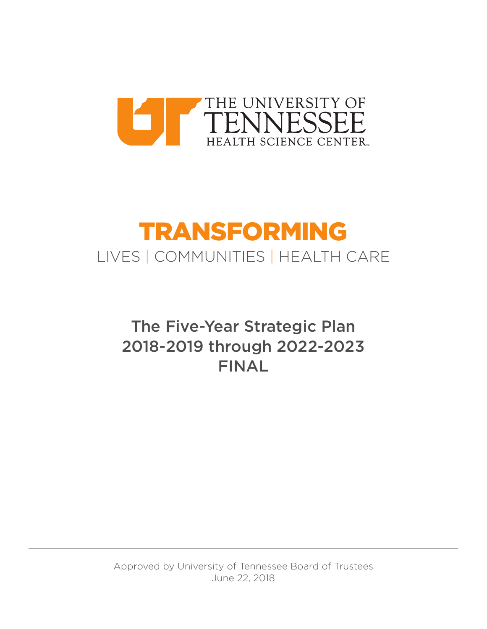

# LIVES | COMMUNITIES | HEALTH CARE TRANSFORMING

The Five-Year Strategic Plan 2018-2019 through 2022-2023 FINAL

Approved by University of Tennessee Board of Trustees June 22, 2018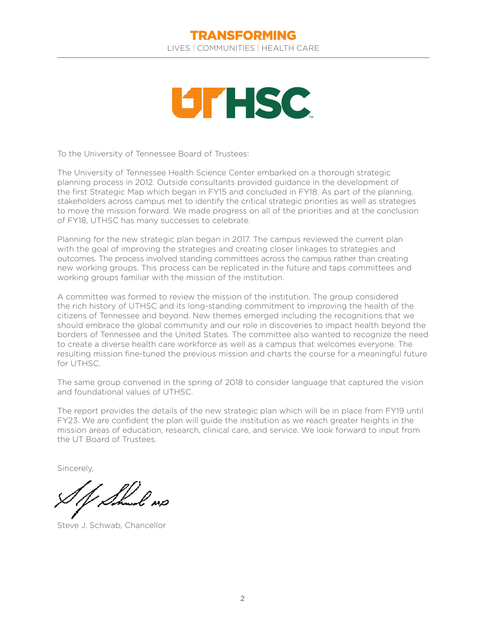

To the University of Tennessee Board of Trustees:

The University of Tennessee Health Science Center embarked on a thorough strategic planning process in 2012. Outside consultants provided guidance in the development of the first Strategic Map which began in FY15 and concluded in FY18. As part of the planning, stakeholders across campus met to identify the critical strategic priorities as well as strategies to move the mission forward. We made progress on all of the priorities and at the conclusion of FY18, UTHSC has many successes to celebrate.

Planning for the new strategic plan began in 2017. The campus reviewed the current plan with the goal of improving the strategies and creating closer linkages to strategies and outcomes. The process involved standing committees across the campus rather than creating new working groups. This process can be replicated in the future and taps committees and working groups familiar with the mission of the institution.

A committee was formed to review the mission of the institution. The group considered the rich history of UTHSC and its long-standing commitment to improving the health of the citizens of Tennessee and beyond. New themes emerged including the recognitions that we should embrace the global community and our role in discoveries to impact health beyond the borders of Tennessee and the United States. The committee also wanted to recognize the need to create a diverse health care workforce as well as a campus that welcomes everyone. The resulting mission fne-tuned the previous mission and charts the course for a meaningful future for UTHSC.

The same group convened in the spring of 2018 to consider language that captured the vision and foundational values of UTHSC.

The report provides the details of the new strategic plan which will be in place from FY19 until FY23. We are confdent the plan will guide the institution as we reach greater heights in the mission areas of education, research, clinical care, and service. We look forward to input from the UT Board of Trustees.

Sincerely,

Steve J. Schwab, Chancellor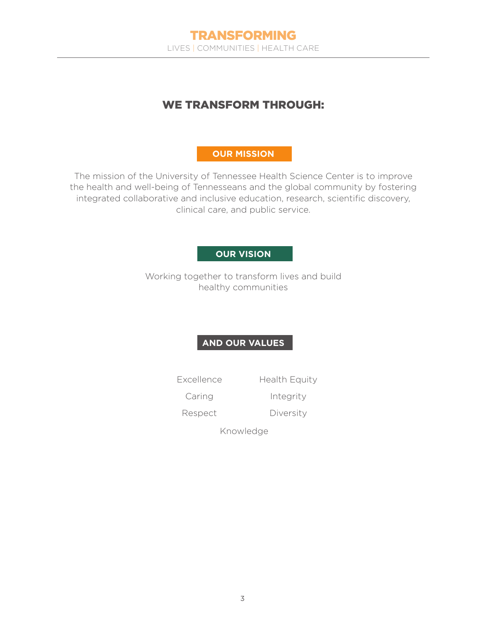

### WE TRANSFORM THROUGH:

### **OUR MISSION**

The mission of the University of Tennessee Health Science Center is to improve the health and well-being of Tennesseans and the global community by fostering integrated collaborative and inclusive education, research, scientific discovery, clinical care, and public service.

#### **OUR VISION**

Working together to transform lives and build healthy communities

### **AND OUR VALUES**

Excellence Health Equity

Caring Integrity

Respect Diversity

Knowledge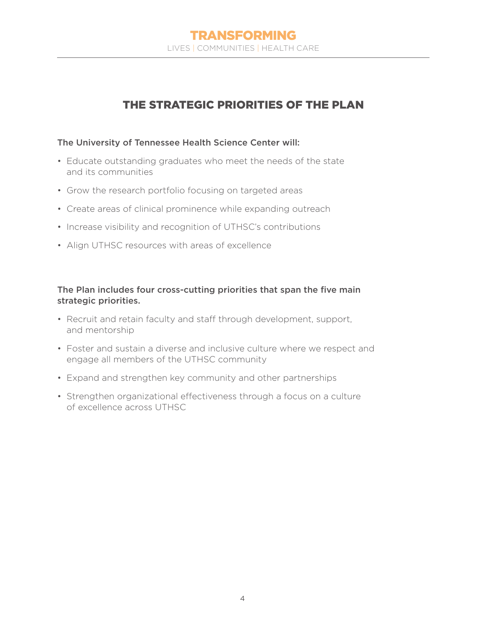### TRANSFORMING LIVES | COMMUNITIES | HEALTH CARE

### THE STRATEGIC PRIORITIES OF THE PLAN

#### The University of Tennessee Health Science Center will:

- Educate outstanding graduates who meet the needs of the state and its communities
- Grow the research portfolio focusing on targeted areas
- Create areas of clinical prominence while expanding outreach
- Increase visibility and recognition of UTHSC's contributions
- Align UTHSC resources with areas of excellence

#### The Plan includes four cross-cutting priorities that span the five main strategic priorities.

- Recruit and retain faculty and staff through development, support, and mentorship
- Foster and sustain a diverse and inclusive culture where we respect and engage all members of the UTHSC community
- Expand and strengthen key community and other partnerships
- Strengthen organizational efectiveness through a focus on a culture of excellence across UTHSC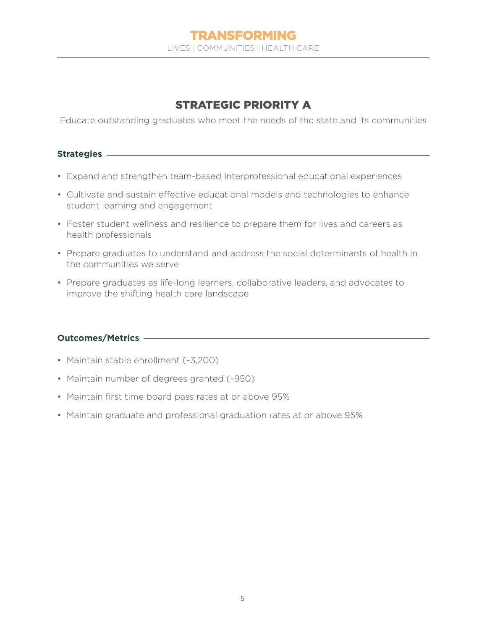### TRANSFORMING LIVES | COMMUNITIES | HEALTH CARE

### STRATEGIC PRIORITY A

Educate outstanding graduates who meet the needs of the state and its communities

#### **Strategies**

- Expand and strengthen team-based Interprofessional educational experiences
- Cultivate and sustain efective educational models and technologies to enhance student learning and engagement
- Foster student wellness and resilience to prepare them for lives and careers as health professionals
- Prepare graduates to understand and address the social determinants of health in the communities we serve
- Prepare graduates as life-long learners, collaborative leaders, and advocates to improve the shifting health care landscape

- Maintain stable enrollment (~3,200)
- Maintain number of degrees granted (~950)
- Maintain first time board pass rates at or above 95%
- Maintain graduate and professional graduation rates at or above 95%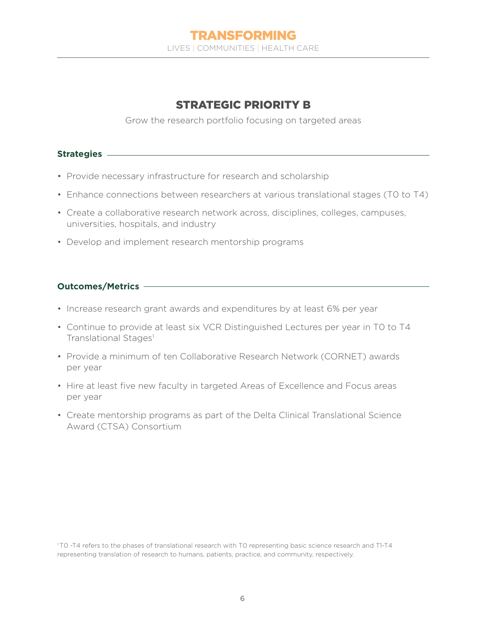### STRATEGIC PRIORITY B

Grow the research portfolio focusing on targeted areas

#### **Strategies**

- Provide necessary infrastructure for research and scholarship
- Enhance connections between researchers at various translational stages (T0 to T4)
- Create a collaborative research network across, disciplines, colleges, campuses, universities, hospitals, and industry
- Develop and implement research mentorship programs

- Increase research grant awards and expenditures by at least 6% per year
- Continue to provide at least six VCR Distinguished Lectures per year in T0 to T4 Translational Stages<sup>1</sup>
- Provide a minimum of ten Collaborative Research Network (CORNET) awards per year
- Hire at least five new faculty in targeted Areas of Excellence and Focus areas per year
- Create mentorship programs as part of the Delta Clinical Translational Science Award (CTSA) Consortium

<sup>1</sup> T0 -T4 refers to the phases of translational research with T0 representing basic science research and T1-T4 representing translation of research to humans, patients, practice, and community, respectively.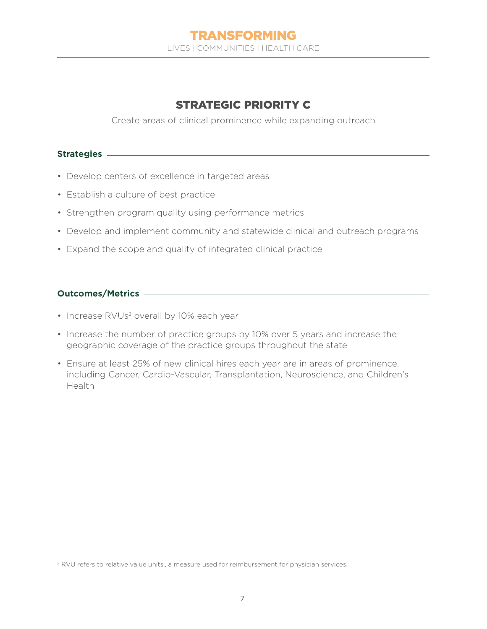### STRATEGIC PRIORITY C

Create areas of clinical prominence while expanding outreach

#### **Strategies**

- Develop centers of excellence in targeted areas
- Establish a culture of best practice
- Strengthen program quality using performance metrics
- Develop and implement community and statewide clinical and outreach programs
- Expand the scope and quality of integrated clinical practice

#### **Outcomes/Metrics**

- Increase RVUs<sup>2</sup> overall by 10% each year
- Increase the number of practice groups by 10% over 5 years and increase the geographic coverage of the practice groups throughout the state
- Ensure at least 25% of new clinical hires each year are in areas of prominence, including Cancer, Cardio-Vascular, Transplantation, Neuroscience, and Children's Health

<sup>2</sup> RVU refers to relative value units., a measure used for reimbursement for physician services.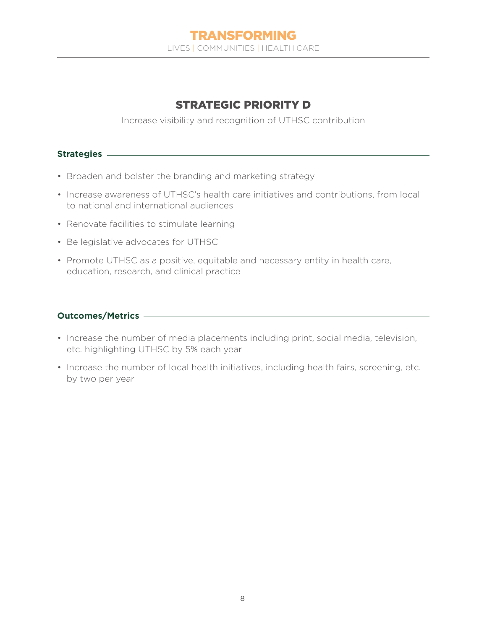### STRATEGIC PRIORITY D

Increase visibility and recognition of UTHSC contribution

#### **Strategies**

- Broaden and bolster the branding and marketing strategy
- Increase awareness of UTHSC's health care initiatives and contributions, from local to national and international audiences
- Renovate facilities to stimulate learning
- Be legislative advocates for UTHSC
- Promote UTHSC as a positive, equitable and necessary entity in health care, education, research, and clinical practice

- Increase the number of media placements including print, social media, television, etc. highlighting UTHSC by 5% each year
- Increase the number of local health initiatives, including health fairs, screening, etc. by two per year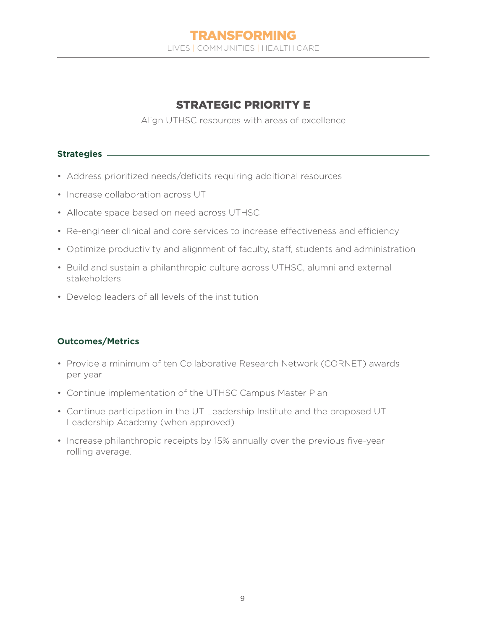## STRATEGIC PRIORITY E

Align UTHSC resources with areas of excellence

#### **Strategies**

- Address prioritized needs/deficits requiring additional resources
- Increase collaboration across UT
- Allocate space based on need across UTHSC
- Re-engineer clinical and core services to increase effectiveness and efficiency
- Optimize productivity and alignment of faculty, staff, students and administration
- Build and sustain a philanthropic culture across UTHSC, alumni and external stakeholders
- Develop leaders of all levels of the institution

- Provide a minimum of ten Collaborative Research Network (CORNET) awards per year
- Continue implementation of the UTHSC Campus Master Plan
- Continue participation in the UT Leadership Institute and the proposed UT Leadership Academy (when approved)
- Increase philanthropic receipts by 15% annually over the previous five-year rolling average.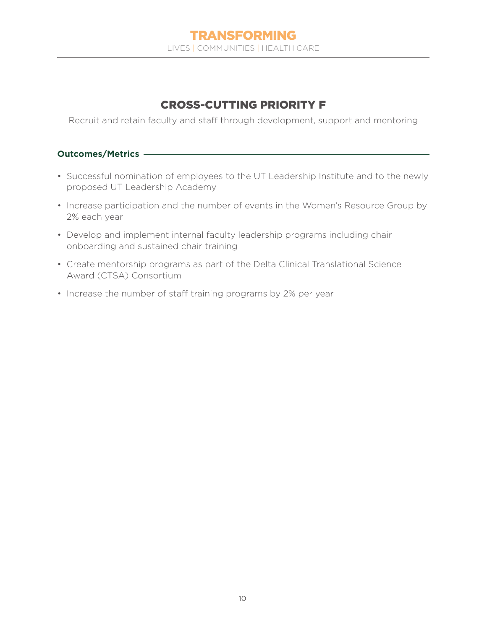# CROSS-CUTTING PRIORITY F

Recruit and retain faculty and staff through development, support and mentoring

- Successful nomination of employees to the UT Leadership Institute and to the newly proposed UT Leadership Academy
- Increase participation and the number of events in the Women's Resource Group by 2% each year
- Develop and implement internal faculty leadership programs including chair onboarding and sustained chair training
- Create mentorship programs as part of the Delta Clinical Translational Science Award (CTSA) Consortium
- Increase the number of staff training programs by 2% per year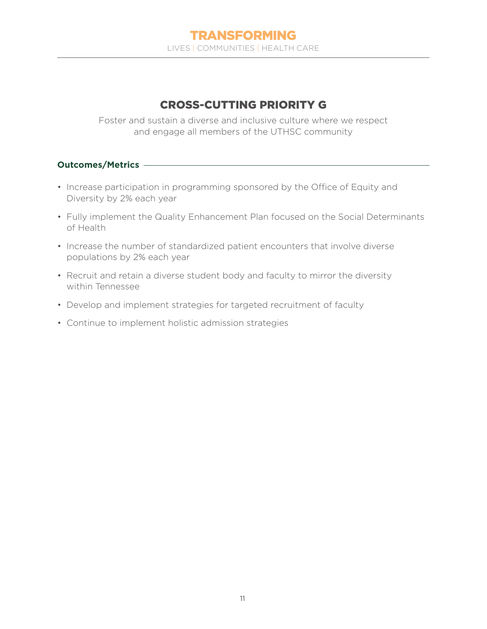### CROSS-CUTTING PRIORITY G

Foster and sustain a diverse and inclusive culture where we respect and engage all members of the UTHSC community

- Increase participation in programming sponsored by the Office of Equity and Diversity by 2% each year
- Fully implement the Quality Enhancement Plan focused on the Social Determinants of Health
- Increase the number of standardized patient encounters that involve diverse populations by 2% each year
- Recruit and retain a diverse student body and faculty to mirror the diversity within Tennessee
- Develop and implement strategies for targeted recruitment of faculty
- Continue to implement holistic admission strategies